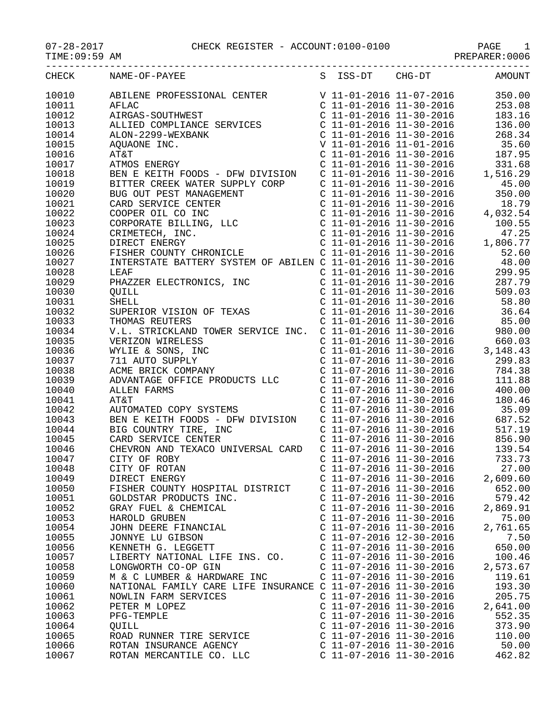## 07-28-2017 CHECK REGISTER - ACCOUNT:0100-0100 PAGE 1 -----------------------------------------------------------------------------------

S ISS-DT

TIME:09:59 AM PREPARER:0006

| CHECK     | NAME-OF-PAYEE            |                  |
|-----------|--------------------------|------------------|
| 10010     |                          | ABILENE PROFESSI |
| 1 0 0 1 1 | $\overline{\phantom{a}}$ |                  |

| CHG-DT           | AMOUNT |
|------------------|--------|
| $11 - 07 - 2016$ | 350.00 |

| 10010 | ABILENE PROFESSIONAL CENTER                                                                                                         | V 11-01-2016 11-07-2016   |                           | 350.00     |
|-------|-------------------------------------------------------------------------------------------------------------------------------------|---------------------------|---------------------------|------------|
| 10011 | AFLAC                                                                                                                               | $C$ 11-01-2016 11-30-2016 |                           | 253.08     |
| 10012 | AIRGAS-SOUTHWEST                                                                                                                    | $C$ 11-01-2016 11-30-2016 |                           | 183.16     |
| 10013 | ALLIED COMPLIANCE SERVICES                                                                                                          | $C$ 11-01-2016 11-30-2016 |                           | 136.00     |
| 10014 | ALON-2299-WEXBANK                                                                                                                   | $C$ 11-01-2016 11-30-2016 |                           | 268.34     |
| 10015 | AQUAONE INC.                                                                                                                        | V 11-01-2016 11-01-2016   |                           | 35.60      |
| 10016 | AT&T                                                                                                                                | $C$ 11-01-2016 11-30-2016 |                           | 187.95     |
| 10017 | ATMOS ENERGY                                                                                                                        | $C$ 11-01-2016 11-30-2016 |                           | 331.68     |
| 10018 | BEN E KEITH FOODS - DFW DIVISION                                                                                                    | $C$ 11-01-2016 11-30-2016 |                           | 1,516.29   |
| 10019 | BITTER CREEK WATER SUPPLY CORP                                                                                                      | $C$ 11-01-2016 11-30-2016 |                           | 45.00      |
| 10020 | BUG OUT PEST MANAGEMENT                                                                                                             | $C$ 11-01-2016 11-30-2016 |                           | 350.00     |
| 10021 | BUG OUT PEST MANAGERIALLY<br>CARD SERVICE CENTER<br>COOPER OIL CO INC<br>CORPORATE BILLING, LLC<br>CRIMETECH, INC.<br>DIRECT ENERGY | $C$ 11-01-2016 11-30-2016 |                           | 18.79      |
| 10022 |                                                                                                                                     | $C$ 11-01-2016 11-30-2016 |                           | 4,032.54   |
| 10023 |                                                                                                                                     | $C$ 11-01-2016 11-30-2016 |                           | 100.55     |
| 10024 |                                                                                                                                     | $C$ 11-01-2016 11-30-2016 |                           | 47.25      |
| 10025 |                                                                                                                                     | $C$ 11-01-2016 11-30-2016 |                           | 1,806.77   |
| 10026 | FISHER COUNTY CHRONICLE                                                                                                             | $C$ 11-01-2016 11-30-2016 |                           | 52.60      |
| 10027 | INTERSTATE BATTERY SYSTEM OF ABILEN C 11-01-2016 11-30-2016                                                                         |                           |                           | 48.00      |
| 10028 | LEAF                                                                                                                                | $C$ 11-01-2016 11-30-2016 |                           | 299.95     |
| 10029 | PHAZZER ELECTRONICS, INC                                                                                                            | $C$ 11-01-2016 11-30-2016 |                           | 287.79     |
| 10030 | <b>QUILL</b>                                                                                                                        |                           | C 11-01-2016 11-30-2016   | 509.03     |
| 10031 | <b>SHELL</b>                                                                                                                        | $C$ 11-01-2016 11-30-2016 |                           | 58.80      |
| 10032 | SUPERIOR VISION OF TEXAS                                                                                                            | $C$ 11-01-2016 11-30-2016 |                           | 36.64      |
| 10033 |                                                                                                                                     | $C$ 11-01-2016 11-30-2016 |                           |            |
|       | THOMAS REUTERS                                                                                                                      |                           |                           | 85.00      |
| 10034 | V.L. STRICKLAND TOWER SERVICE INC.                                                                                                  | $C$ 11-01-2016 11-30-2016 |                           | 980.00     |
| 10035 | VERIZON WIRELESS                                                                                                                    | $C$ 11-01-2016 11-30-2016 |                           | 660.03     |
| 10036 | WYLIE & SONS, INC                                                                                                                   |                           | $C$ 11-01-2016 11-30-2016 | 3, 148. 43 |
| 10037 | 711 AUTO SUPPLY                                                                                                                     | $C$ 11-07-2016 11-30-2016 |                           | 299.83     |
| 10038 | ACME BRICK COMPANY                                                                                                                  |                           | $C$ 11-07-2016 11-30-2016 | 784.38     |
| 10039 | ADVANTAGE OFFICE PRODUCTS LLC                                                                                                       | C 11-07-2016 11-30-2016   |                           | 111.88     |
| 10040 | <b>ALLEN FARMS</b>                                                                                                                  | $C$ 11-07-2016 11-30-2016 |                           | 400.00     |
| 10041 | AT&T                                                                                                                                | $C$ 11-07-2016 11-30-2016 |                           | 180.46     |
| 10042 | AUTOMATED COPY SYSTEMS                                                                                                              | $C$ 11-07-2016 11-30-2016 |                           | 35.09      |
| 10043 | BEN E KEITH FOODS - DFW DIVISION                                                                                                    | $C$ 11-07-2016 11-30-2016 |                           | 687.52     |
| 10044 | BIG COUNTRY TIRE, INC                                                                                                               | $C$ 11-07-2016 11-30-2016 |                           | 517.19     |
| 10045 | CARD SERVICE CENTER                                                                                                                 | $C$ 11-07-2016 11-30-2016 |                           | 856.90     |
| 10046 | CHEVRON AND TEXACO UNIVERSAL CARD                                                                                                   | $C$ 11-07-2016 11-30-2016 |                           | 139.54     |
| 10047 | CITY OF ROBY                                                                                                                        |                           | $C$ 11-07-2016 11-30-2016 | 733.73     |
| 10048 | CITY OF ROTAN                                                                                                                       | $C$ 11-07-2016 11-30-2016 |                           | 27.00      |
| 10049 | DIRECT ENERGY                                                                                                                       |                           | C 11-07-2016 11-30-2016   | 2,609.60   |
| 10050 | FISHER COUNTY HOSPITAL DISTRICT                                                                                                     | $C$ 11-07-2016 11-30-2016 |                           | 652.00     |
| 10051 | GOLDSTAR PRODUCTS INC.                                                                                                              | $C$ 11-07-2016 11-30-2016 |                           | 579.42     |
| 10052 | GRAY FUEL & CHEMICAL                                                                                                                | C 11-07-2016 11-30-2016   |                           | 2,869.91   |
| 10053 | HAROLD GRUBEN                                                                                                                       | $C$ 11-07-2016 11-30-2016 |                           | 75.00      |
| 10054 | JOHN DEERE FINANCIAL                                                                                                                | $C$ 11-07-2016 11-30-2016 |                           | 2,761.65   |
| 10055 | JONNYE LU GIBSON                                                                                                                    | C 11-07-2016 12-30-2016   |                           | 7.50       |
| 10056 | KENNETH G. LEGGETT                                                                                                                  | C 11-07-2016 11-30-2016   |                           | 650.00     |
| 10057 | LIBERTY NATIONAL LIFE INS. CO.                                                                                                      | $C$ 11-07-2016 11-30-2016 |                           | 100.46     |
| 10058 | LONGWORTH CO-OP GIN                                                                                                                 | $C$ 11-07-2016 11-30-2016 |                           | 2,573.67   |
| 10059 | M & C LUMBER & HARDWARE INC                                                                                                         | $C$ 11-07-2016 11-30-2016 |                           | 119.61     |
| 10060 | NATIONAL FAMILY CARE LIFE INSURANCE C 11-07-2016 11-30-2016                                                                         |                           |                           | 193.30     |
| 10061 | NOWLIN FARM SERVICES                                                                                                                | $C$ 11-07-2016 11-30-2016 |                           | 205.75     |
| 10062 | PETER M LOPEZ                                                                                                                       | C 11-07-2016 11-30-2016   |                           | 2,641.00   |
| 10063 | PFG-TEMPLE                                                                                                                          | $C$ 11-07-2016 11-30-2016 |                           | 552.35     |
| 10064 | QUILL                                                                                                                               | $C$ 11-07-2016 11-30-2016 |                           | 373.90     |
| 10065 | ROAD RUNNER TIRE SERVICE                                                                                                            | $C$ 11-07-2016 11-30-2016 |                           | 110.00     |
| 10066 | ROTAN INSURANCE AGENCY                                                                                                              | $C$ 11-07-2016 11-30-2016 |                           | 50.00      |
| 10067 | ROTAN MERCANTILE CO. LLC                                                                                                            | $C$ 11-07-2016 11-30-2016 |                           | 462.82     |
|       |                                                                                                                                     |                           |                           |            |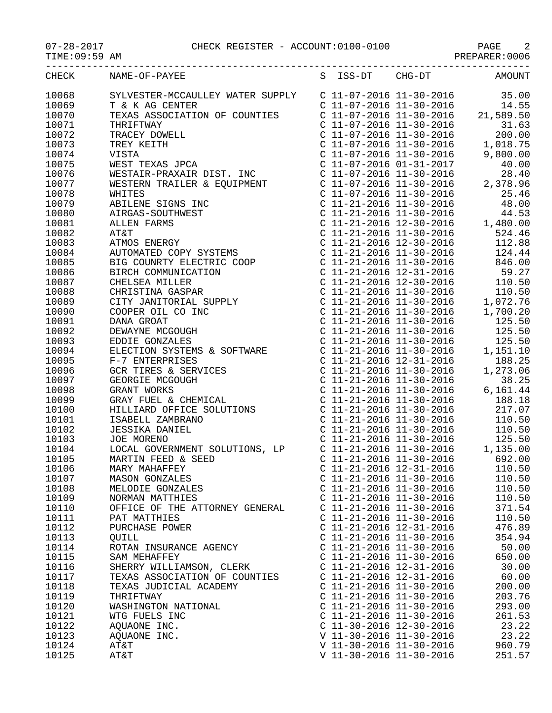$TIME:09:59$  AM

## 07-28-2017 CHECK REGISTER - ACCOUNT:0100-0100 PAGE 2

|       | CHECK NAME-OF-PAYEE                                                                                                                                                                                                                                                                                                                                           |                           | S ISS-DT CHG-DT AMOUNT                                                                                                                                                                                                                                            |                 |
|-------|---------------------------------------------------------------------------------------------------------------------------------------------------------------------------------------------------------------------------------------------------------------------------------------------------------------------------------------------------------------|---------------------------|-------------------------------------------------------------------------------------------------------------------------------------------------------------------------------------------------------------------------------------------------------------------|-----------------|
| 10068 | SYLVESTER-MCCAULLEY WATER SUPPLY<br>T & K AG CENTER<br>TEXAS ASSOCIATION OF COUNTIES<br>TEXAS ASSOCIATION OF COUNTIES<br>TEXAS ASSOCIATION OF COUNTIES<br>TEXAS ASSOCIATION OF COUNTIES<br>C 11-07-2016 11-30-2016<br>C 11-07-2016 11                                                                                                                         |                           |                                                                                                                                                                                                                                                                   |                 |
| 10069 |                                                                                                                                                                                                                                                                                                                                                               |                           |                                                                                                                                                                                                                                                                   |                 |
| 10070 |                                                                                                                                                                                                                                                                                                                                                               |                           |                                                                                                                                                                                                                                                                   |                 |
| 10071 | $\begin{tabular}{l c c c c} \hline \texttt{TRXAB} & \texttt{NSGOLATION OF CONTIES} & \texttt{C} & 11--0-2016 & 11-30-2016 & 21,599:59 \\ \hline \texttt{TRXREITHE} & \texttt{C} & 11--0-2016 & 11-30-2016 & 31,63 \\ \hline \texttt{TRX REITHE} & \texttt{C} & 11--0-2016 & 11-30-2016 & 11,018.75 \\ \texttt{NESTATR} & \texttt{FERX AITF} & \texttt{C} & 1$ |                           |                                                                                                                                                                                                                                                                   |                 |
| 10072 |                                                                                                                                                                                                                                                                                                                                                               |                           |                                                                                                                                                                                                                                                                   |                 |
| 10073 |                                                                                                                                                                                                                                                                                                                                                               |                           |                                                                                                                                                                                                                                                                   |                 |
| 10074 |                                                                                                                                                                                                                                                                                                                                                               |                           |                                                                                                                                                                                                                                                                   |                 |
| 10075 |                                                                                                                                                                                                                                                                                                                                                               |                           |                                                                                                                                                                                                                                                                   |                 |
| 10076 |                                                                                                                                                                                                                                                                                                                                                               |                           |                                                                                                                                                                                                                                                                   |                 |
| 10077 |                                                                                                                                                                                                                                                                                                                                                               |                           |                                                                                                                                                                                                                                                                   |                 |
| 10078 |                                                                                                                                                                                                                                                                                                                                                               |                           |                                                                                                                                                                                                                                                                   |                 |
| 10079 |                                                                                                                                                                                                                                                                                                                                                               |                           |                                                                                                                                                                                                                                                                   |                 |
|       |                                                                                                                                                                                                                                                                                                                                                               |                           |                                                                                                                                                                                                                                                                   |                 |
| 10080 |                                                                                                                                                                                                                                                                                                                                                               |                           |                                                                                                                                                                                                                                                                   |                 |
| 10081 |                                                                                                                                                                                                                                                                                                                                                               |                           |                                                                                                                                                                                                                                                                   |                 |
| 10082 |                                                                                                                                                                                                                                                                                                                                                               |                           |                                                                                                                                                                                                                                                                   |                 |
| 10083 |                                                                                                                                                                                                                                                                                                                                                               |                           |                                                                                                                                                                                                                                                                   |                 |
| 10084 |                                                                                                                                                                                                                                                                                                                                                               |                           |                                                                                                                                                                                                                                                                   |                 |
| 10085 |                                                                                                                                                                                                                                                                                                                                                               |                           |                                                                                                                                                                                                                                                                   |                 |
| 10086 |                                                                                                                                                                                                                                                                                                                                                               |                           |                                                                                                                                                                                                                                                                   |                 |
| 10087 |                                                                                                                                                                                                                                                                                                                                                               |                           |                                                                                                                                                                                                                                                                   |                 |
| 10088 |                                                                                                                                                                                                                                                                                                                                                               |                           |                                                                                                                                                                                                                                                                   |                 |
| 10089 |                                                                                                                                                                                                                                                                                                                                                               |                           |                                                                                                                                                                                                                                                                   |                 |
| 10090 |                                                                                                                                                                                                                                                                                                                                                               |                           |                                                                                                                                                                                                                                                                   |                 |
| 10091 |                                                                                                                                                                                                                                                                                                                                                               |                           |                                                                                                                                                                                                                                                                   |                 |
| 10092 |                                                                                                                                                                                                                                                                                                                                                               |                           |                                                                                                                                                                                                                                                                   |                 |
| 10093 |                                                                                                                                                                                                                                                                                                                                                               |                           |                                                                                                                                                                                                                                                                   |                 |
| 10094 |                                                                                                                                                                                                                                                                                                                                                               |                           |                                                                                                                                                                                                                                                                   |                 |
| 10095 | ELECTION SISTEMS & SOFIWALE<br>F-7 ENTERPRISES<br>GCR TIRES & SERVICES<br>GEORGIE MCGOUGH<br>GRANT WORKS<br>GRAY FUEL & CHEMICAL<br>HILLIARD OFFICE SOLUTIONS<br>ISABELL ZAMBRANO<br>JESSIKA DANIEL<br>JOE MORENO<br>JESSIKA DANIEL<br>JOE MORENO                                                                                                             |                           | $\begin{tabular}{lllllllllllll} c&11&21&2010&11&30&2010&17,700.20 \\ C&11-21-2016&11-30-2016&125.50 \\ C&11-21-2016&11-30-2016&125.50 \\ C&11-21-2016&11-30-2016&1,151.10 \\ C&11-21-2016&12-31-2016&188.25 \\ C&11-21-2016&11-30-2016&1,273.06 \\ C&11-21-2016&$ |                 |
| 10096 |                                                                                                                                                                                                                                                                                                                                                               |                           |                                                                                                                                                                                                                                                                   |                 |
| 10097 |                                                                                                                                                                                                                                                                                                                                                               |                           | C 11-21-2016 11-30-2016 38.25<br>C 11-21-2016 11-30-2016 6,161.44<br>C 11-21-2016 11-30-2016 188.18<br>C 11-21-2016 11-30-2016 217.07                                                                                                                             |                 |
| 10098 |                                                                                                                                                                                                                                                                                                                                                               |                           |                                                                                                                                                                                                                                                                   |                 |
| 10099 |                                                                                                                                                                                                                                                                                                                                                               |                           |                                                                                                                                                                                                                                                                   |                 |
| 10100 |                                                                                                                                                                                                                                                                                                                                                               |                           |                                                                                                                                                                                                                                                                   |                 |
| 10101 |                                                                                                                                                                                                                                                                                                                                                               |                           | C 11-21-2016 11-30-2016 110.50                                                                                                                                                                                                                                    |                 |
| 10102 | JESSIKA DANIEL<br>JOE MORENO<br>LOCAL GOVERNMENT SOLUTIONS, LP<br>C 11-21-2016 11-30-2016 125.50<br>C 11-21-2016 11-30-2016 1,135.00<br>MARTIN FEED & SEED C 11-21-2016 11-30-2016 692.00                                                                                                                                                                     |                           |                                                                                                                                                                                                                                                                   |                 |
| 10103 |                                                                                                                                                                                                                                                                                                                                                               |                           |                                                                                                                                                                                                                                                                   |                 |
| 10104 |                                                                                                                                                                                                                                                                                                                                                               |                           |                                                                                                                                                                                                                                                                   |                 |
| 10105 |                                                                                                                                                                                                                                                                                                                                                               |                           |                                                                                                                                                                                                                                                                   |                 |
| 10106 | MARY MAHAFFEY                                                                                                                                                                                                                                                                                                                                                 | C 11-21-2016 12-31-2016   |                                                                                                                                                                                                                                                                   | 110.50          |
| 10107 | <b>MASON GONZALES</b>                                                                                                                                                                                                                                                                                                                                         | $C$ 11-21-2016 11-30-2016 |                                                                                                                                                                                                                                                                   | 110.50          |
| 10108 | MELODIE GONZALES                                                                                                                                                                                                                                                                                                                                              | $C$ 11-21-2016 11-30-2016 |                                                                                                                                                                                                                                                                   | 110.50          |
| 10109 | NORMAN MATTHIES                                                                                                                                                                                                                                                                                                                                               | $C$ 11-21-2016 11-30-2016 |                                                                                                                                                                                                                                                                   | 110.50          |
| 10110 | OFFICE OF THE ATTORNEY GENERAL                                                                                                                                                                                                                                                                                                                                | $C$ 11-21-2016 11-30-2016 |                                                                                                                                                                                                                                                                   | 371.54          |
| 10111 | PAT MATTHIES                                                                                                                                                                                                                                                                                                                                                  | $C$ 11-21-2016 11-30-2016 |                                                                                                                                                                                                                                                                   | 110.50          |
| 10112 | PURCHASE POWER                                                                                                                                                                                                                                                                                                                                                | $C$ 11-21-2016 12-31-2016 |                                                                                                                                                                                                                                                                   | 476.89          |
| 10113 | OUILL                                                                                                                                                                                                                                                                                                                                                         | $C$ 11-21-2016 11-30-2016 |                                                                                                                                                                                                                                                                   | 354.94          |
|       |                                                                                                                                                                                                                                                                                                                                                               | $C$ 11-21-2016 11-30-2016 |                                                                                                                                                                                                                                                                   |                 |
| 10114 | ROTAN INSURANCE AGENCY                                                                                                                                                                                                                                                                                                                                        | $C$ 11-21-2016 11-30-2016 |                                                                                                                                                                                                                                                                   | 50.00<br>650.00 |
| 10115 | SAM MEHAFFEY                                                                                                                                                                                                                                                                                                                                                  | $C$ 11-21-2016 12-31-2016 |                                                                                                                                                                                                                                                                   |                 |
| 10116 | SHERRY WILLIAMSON, CLERK                                                                                                                                                                                                                                                                                                                                      |                           |                                                                                                                                                                                                                                                                   | 30.00           |
| 10117 | TEXAS ASSOCIATION OF COUNTIES                                                                                                                                                                                                                                                                                                                                 | $C$ 11-21-2016 12-31-2016 |                                                                                                                                                                                                                                                                   | 60.00           |
| 10118 | TEXAS JUDICIAL ACADEMY                                                                                                                                                                                                                                                                                                                                        | $C$ 11-21-2016 11-30-2016 |                                                                                                                                                                                                                                                                   | 200.00          |
| 10119 | THRIFTWAY                                                                                                                                                                                                                                                                                                                                                     | $C$ 11-21-2016 11-30-2016 |                                                                                                                                                                                                                                                                   | 203.76          |
| 10120 | WASHINGTON NATIONAL                                                                                                                                                                                                                                                                                                                                           | $C$ 11-21-2016 11-30-2016 |                                                                                                                                                                                                                                                                   | 293.00          |
| 10121 | WTG FUELS INC                                                                                                                                                                                                                                                                                                                                                 | $C$ 11-21-2016 11-30-2016 |                                                                                                                                                                                                                                                                   | 261.53          |
| 10122 | AQUAONE INC.                                                                                                                                                                                                                                                                                                                                                  | $C$ 11-30-2016 12-30-2016 |                                                                                                                                                                                                                                                                   | 23.22           |
| 10123 | AQUAONE INC.                                                                                                                                                                                                                                                                                                                                                  | V 11-30-2016 11-30-2016   |                                                                                                                                                                                                                                                                   | 23.22           |
| 10124 | AT&T                                                                                                                                                                                                                                                                                                                                                          | V 11-30-2016 11-30-2016   |                                                                                                                                                                                                                                                                   | 960.79          |
| 10125 | AT&T                                                                                                                                                                                                                                                                                                                                                          | V 11-30-2016 11-30-2016   |                                                                                                                                                                                                                                                                   | 251.57          |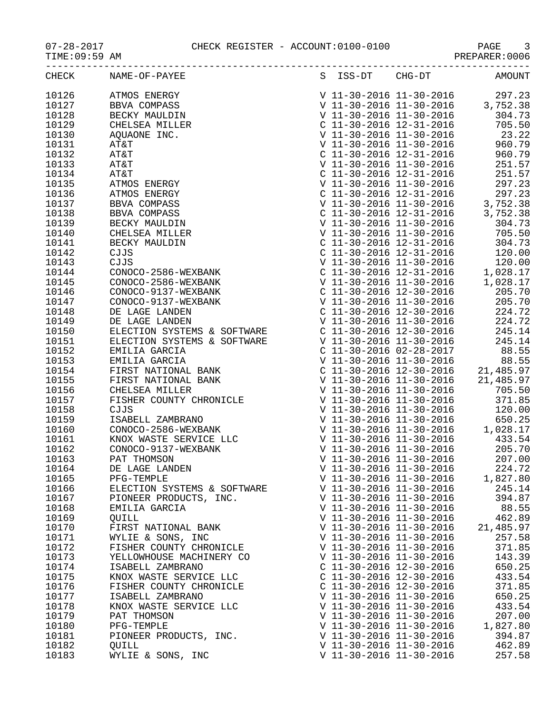TIME:09:59 AM PREPARER:0006

|       | CHECK NAME-OF-PAYEE<br>$\begin{tabular}{ c  c  c c c} \hline \multicolumn{1}{c}{\textbf{RMSB-OP-PrATB}} & \multicolumn{1}{c}{\textbf{SBS-PT}} & \multicolumn{1}{c}{\textbf{SBS-PT}} & \multicolumn{1}{c}{\textbf{SBS-PT}} & \multicolumn{1}{c}{\textbf{SBS-PT}} & \multicolumn{1}{c}{\textbf{SBS-PT}} & \multicolumn{1}{c}{\textbf{SBS-PT}} & \multicolumn{1}{c}{\textbf{SBS-PT}} & \multicolumn{1}{c}{\textbf{SBS-PT}} & \multicolumn{1}{c}{\textbf{SBS-PT}} & \multicolumn{1$ |                           | S ISS-DT CHG-DT AMOUNT           |
|-------|---------------------------------------------------------------------------------------------------------------------------------------------------------------------------------------------------------------------------------------------------------------------------------------------------------------------------------------------------------------------------------------------------------------------------------------------------------------------------------|---------------------------|----------------------------------|
| 10126 |                                                                                                                                                                                                                                                                                                                                                                                                                                                                                 |                           |                                  |
| 10127 |                                                                                                                                                                                                                                                                                                                                                                                                                                                                                 |                           |                                  |
| 10128 |                                                                                                                                                                                                                                                                                                                                                                                                                                                                                 |                           |                                  |
| 10129 |                                                                                                                                                                                                                                                                                                                                                                                                                                                                                 |                           |                                  |
| 10130 |                                                                                                                                                                                                                                                                                                                                                                                                                                                                                 |                           |                                  |
| 10131 |                                                                                                                                                                                                                                                                                                                                                                                                                                                                                 |                           | $V 11-30-2016 11-30-2016 960.79$ |
| 10132 |                                                                                                                                                                                                                                                                                                                                                                                                                                                                                 |                           |                                  |
| 10133 |                                                                                                                                                                                                                                                                                                                                                                                                                                                                                 |                           |                                  |
| 10134 |                                                                                                                                                                                                                                                                                                                                                                                                                                                                                 |                           |                                  |
| 10135 |                                                                                                                                                                                                                                                                                                                                                                                                                                                                                 |                           |                                  |
| 10136 |                                                                                                                                                                                                                                                                                                                                                                                                                                                                                 |                           |                                  |
| 10137 |                                                                                                                                                                                                                                                                                                                                                                                                                                                                                 |                           |                                  |
| 10138 |                                                                                                                                                                                                                                                                                                                                                                                                                                                                                 |                           |                                  |
| 10139 |                                                                                                                                                                                                                                                                                                                                                                                                                                                                                 |                           |                                  |
| 10140 |                                                                                                                                                                                                                                                                                                                                                                                                                                                                                 |                           |                                  |
| 10141 |                                                                                                                                                                                                                                                                                                                                                                                                                                                                                 |                           |                                  |
| 10142 |                                                                                                                                                                                                                                                                                                                                                                                                                                                                                 |                           |                                  |
| 10143 |                                                                                                                                                                                                                                                                                                                                                                                                                                                                                 |                           |                                  |
| 10144 |                                                                                                                                                                                                                                                                                                                                                                                                                                                                                 |                           |                                  |
| 10145 |                                                                                                                                                                                                                                                                                                                                                                                                                                                                                 |                           |                                  |
| 10146 |                                                                                                                                                                                                                                                                                                                                                                                                                                                                                 |                           |                                  |
| 10147 |                                                                                                                                                                                                                                                                                                                                                                                                                                                                                 |                           |                                  |
| 10148 |                                                                                                                                                                                                                                                                                                                                                                                                                                                                                 |                           |                                  |
| 10149 |                                                                                                                                                                                                                                                                                                                                                                                                                                                                                 |                           |                                  |
| 10150 |                                                                                                                                                                                                                                                                                                                                                                                                                                                                                 |                           |                                  |
| 10151 |                                                                                                                                                                                                                                                                                                                                                                                                                                                                                 |                           |                                  |
| 10152 |                                                                                                                                                                                                                                                                                                                                                                                                                                                                                 |                           |                                  |
| 10153 |                                                                                                                                                                                                                                                                                                                                                                                                                                                                                 |                           |                                  |
| 10154 |                                                                                                                                                                                                                                                                                                                                                                                                                                                                                 |                           |                                  |
| 10155 |                                                                                                                                                                                                                                                                                                                                                                                                                                                                                 |                           |                                  |
| 10156 |                                                                                                                                                                                                                                                                                                                                                                                                                                                                                 |                           |                                  |
| 10157 |                                                                                                                                                                                                                                                                                                                                                                                                                                                                                 |                           |                                  |
| 10158 |                                                                                                                                                                                                                                                                                                                                                                                                                                                                                 |                           |                                  |
| 10159 |                                                                                                                                                                                                                                                                                                                                                                                                                                                                                 |                           |                                  |
| 10160 |                                                                                                                                                                                                                                                                                                                                                                                                                                                                                 |                           |                                  |
| 10161 |                                                                                                                                                                                                                                                                                                                                                                                                                                                                                 |                           |                                  |
| 10162 |                                                                                                                                                                                                                                                                                                                                                                                                                                                                                 |                           |                                  |
| 10163 |                                                                                                                                                                                                                                                                                                                                                                                                                                                                                 |                           |                                  |
| 10164 | DE LAGE LANDEN                                                                                                                                                                                                                                                                                                                                                                                                                                                                  | V 11-30-2016 11-30-2016   | 224.72                           |
| 10165 | PFG-TEMPLE                                                                                                                                                                                                                                                                                                                                                                                                                                                                      | V 11-30-2016 11-30-2016   | 1,827.80                         |
| 10166 | ELECTION SYSTEMS & SOFTWARE                                                                                                                                                                                                                                                                                                                                                                                                                                                     | V 11-30-2016 11-30-2016   | 245.14                           |
| 10167 | PIONEER PRODUCTS, INC.                                                                                                                                                                                                                                                                                                                                                                                                                                                          | V 11-30-2016 11-30-2016   | 394.87                           |
| 10168 | EMILIA GARCIA                                                                                                                                                                                                                                                                                                                                                                                                                                                                   | V 11-30-2016 11-30-2016   | 88.55                            |
| 10169 | QUILL                                                                                                                                                                                                                                                                                                                                                                                                                                                                           | V 11-30-2016 11-30-2016   | 462.89                           |
| 10170 | FIRST NATIONAL BANK                                                                                                                                                                                                                                                                                                                                                                                                                                                             | V 11-30-2016 11-30-2016   | 21,485.97                        |
| 10171 | WYLIE & SONS, INC                                                                                                                                                                                                                                                                                                                                                                                                                                                               | V 11-30-2016 11-30-2016   | 257.58                           |
| 10172 | FISHER COUNTY CHRONICLE                                                                                                                                                                                                                                                                                                                                                                                                                                                         | V 11-30-2016 11-30-2016   | 371.85                           |
| 10173 | YELLOWHOUSE MACHINERY CO                                                                                                                                                                                                                                                                                                                                                                                                                                                        | V 11-30-2016 11-30-2016   | 143.39                           |
| 10174 | ISABELL ZAMBRANO                                                                                                                                                                                                                                                                                                                                                                                                                                                                | $C$ 11-30-2016 12-30-2016 | 650.25                           |
| 10175 | KNOX WASTE SERVICE LLC                                                                                                                                                                                                                                                                                                                                                                                                                                                          | $C$ 11-30-2016 12-30-2016 | 433.54                           |
| 10176 | FISHER COUNTY CHRONICLE                                                                                                                                                                                                                                                                                                                                                                                                                                                         | C 11-30-2016 12-30-2016   | 371.85                           |
| 10177 | ISABELL ZAMBRANO                                                                                                                                                                                                                                                                                                                                                                                                                                                                | V 11-30-2016 11-30-2016   | 650.25                           |
| 10178 | KNOX WASTE SERVICE LLC                                                                                                                                                                                                                                                                                                                                                                                                                                                          | V 11-30-2016 11-30-2016   | 433.54                           |
| 10179 | PAT THOMSON                                                                                                                                                                                                                                                                                                                                                                                                                                                                     | V 11-30-2016 11-30-2016   | 207.00                           |
| 10180 | PFG-TEMPLE                                                                                                                                                                                                                                                                                                                                                                                                                                                                      | V 11-30-2016 11-30-2016   | 1,827.80                         |
| 10181 | PIONEER PRODUCTS, INC.                                                                                                                                                                                                                                                                                                                                                                                                                                                          | V 11-30-2016 11-30-2016   | 394.87                           |
| 10182 | OUILL                                                                                                                                                                                                                                                                                                                                                                                                                                                                           | V 11-30-2016 11-30-2016   | 462.89                           |

10183 WYLIE & SONS, INC V 11-30-2016 11-30-2016 257.58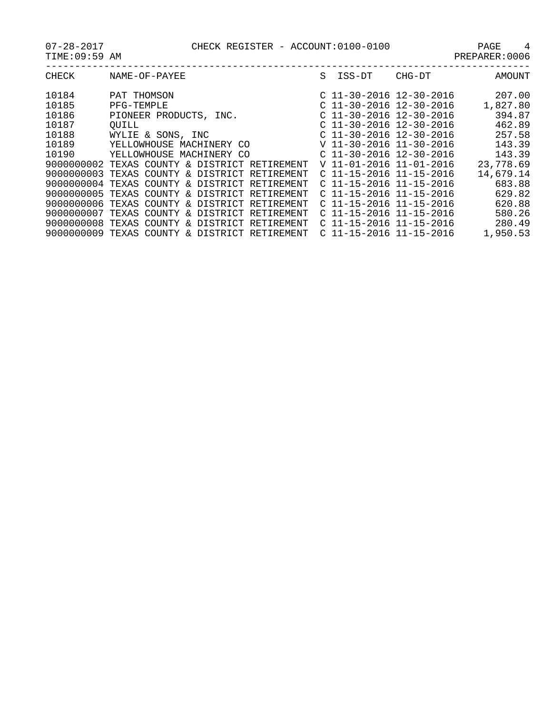| CHECK      | NAME-OF-PAYEE                                 | S. | ISS-DT                    | CHG-DT                    | AMOUNT    |
|------------|-----------------------------------------------|----|---------------------------|---------------------------|-----------|
| 10184      | PAT THOMSON                                   |    |                           | $C$ 11-30-2016 12-30-2016 | 207.00    |
| 10185      | PFG-TEMPLE                                    |    | $C$ 11-30-2016 12-30-2016 |                           | 1,827.80  |
| 10186      | PIONEER PRODUCTS, INC.                        |    |                           | $C$ 11-30-2016 12-30-2016 | 394.87    |
| 10187      | OUILL                                         |    |                           | $C$ 11-30-2016 12-30-2016 | 462.89    |
| 10188      | WYLIE & SONS, INC                             |    |                           | $C$ 11-30-2016 12-30-2016 | 257.58    |
| 10189      | YELLOWHOUSE MACHINERY CO                      |    |                           | V 11-30-2016 11-30-2016   | 143.39    |
| 10190      | YELLOWHOUSE MACHINERY CO                      |    |                           | $C$ 11-30-2016 12-30-2016 | 143.39    |
|            | 9000000002 TEXAS COUNTY & DISTRICT RETIREMENT |    |                           | V 11-01-2016 11-01-2016   | 23,778.69 |
|            | 9000000003 TEXAS COUNTY & DISTRICT RETIREMENT |    |                           | $C$ 11-15-2016 11-15-2016 | 14,679.14 |
|            | 9000000004 TEXAS COUNTY & DISTRICT RETIREMENT |    |                           | $C$ 11-15-2016 11-15-2016 | 683.88    |
|            | 9000000005 TEXAS COUNTY & DISTRICT RETIREMENT |    |                           | $C$ 11-15-2016 11-15-2016 | 629.82    |
|            | 9000000006 TEXAS COUNTY & DISTRICT RETIREMENT |    |                           | $C$ 11-15-2016 11-15-2016 | 620.88    |
|            | 9000000007 TEXAS COUNTY & DISTRICT RETIREMENT |    |                           | $C$ 11-15-2016 11-15-2016 | 580.26    |
| 9000000008 | TEXAS COUNTY & DISTRICT RETIREMENT            |    |                           | $C$ 11-15-2016 11-15-2016 | 280.49    |
|            | 9000000009 TEXAS COUNTY & DISTRICT RETIREMENT |    |                           | $C$ 11-15-2016 11-15-2016 | 1,950.53  |
|            |                                               |    |                           |                           |           |